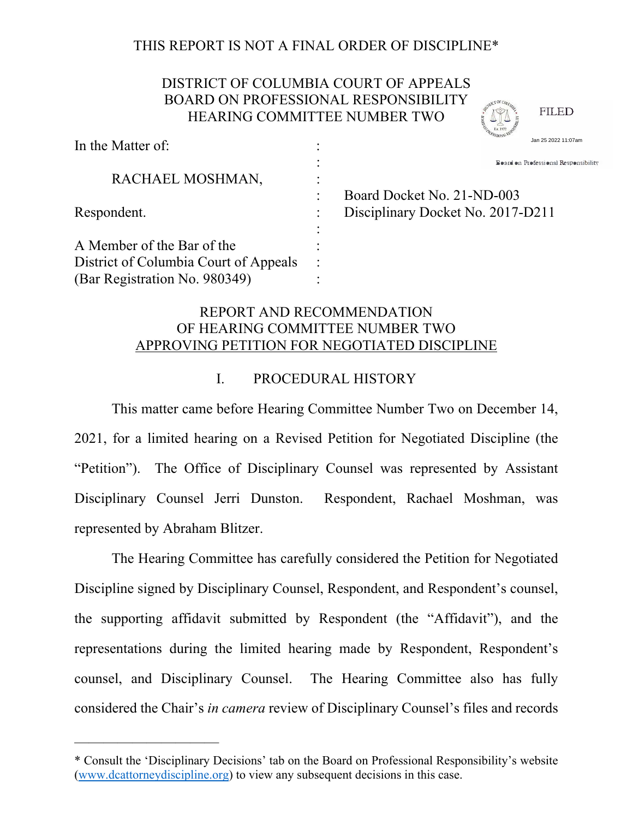# THIS REPORT IS NOT A FINAL ORDER OF DISCIPLINE\*

# DISTRICT OF COLUMBIA COURT OF APPEALS BOARD ON PROFESSIONAL RESPONSIBILITY HEARING COMMITTEE NUMBER TWO

In the Matter of:  $\cdot$  : **Service State State State State State**  RACHAEL MOSHMAN, : Board Docket No. 21-ND-003 Respondent. : Disciplinary Docket No. 2017-D211 **Service Control Control Control Control Control** A Member of the Bar of the : District of Columbia Court of Appeals : Board on Professional Responsibilitv Jan 25 2022 11:07am

**FILED** 

# REPORT AND RECOMMENDATION OF HEARING COMMITTEE NUMBER TWO APPROVING PETITION FOR NEGOTIATED DISCIPLINE

#### I. PROCEDURAL HISTORY

This matter came before Hearing Committee Number Two on December 14, 2021, for a limited hearing on a Revised Petition for Negotiated Discipline (the "Petition"). The Office of Disciplinary Counsel was represented by Assistant Disciplinary Counsel Jerri Dunston. Respondent, Rachael Moshman, was represented by Abraham Blitzer.

The Hearing Committee has carefully considered the Petition for Negotiated Discipline signed by Disciplinary Counsel, Respondent, and Respondent's counsel, the supporting affidavit submitted by Respondent (the "Affidavit"), and the representations during the limited hearing made by Respondent, Respondent's counsel, and Disciplinary Counsel. The Hearing Committee also has fully considered the Chair's *in camera* review of Disciplinary Counsel's files and records

——————————

(Bar Registration No. 980349)

<sup>\*</sup> Consult the 'Disciplinary Decisions' tab on the Board on Professional Responsibility's website (www.dcattorneydiscipline.org) to view any subsequent decisions in this case.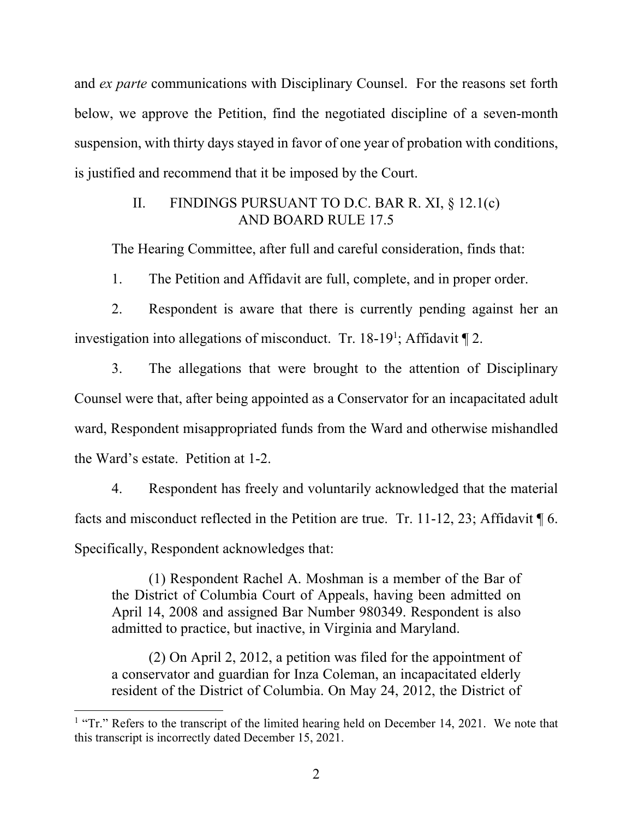and *ex parte* communications with Disciplinary Counsel. For the reasons set forth below, we approve the Petition, find the negotiated discipline of a seven-month suspension, with thirty days stayed in favor of one year of probation with conditions, is justified and recommend that it be imposed by the Court.

## II. FINDINGS PURSUANT TO D.C. BAR R. XI, § 12.1(c) AND BOARD RULE 17.5

The Hearing Committee, after full and careful consideration, finds that:

1. The Petition and Affidavit are full, complete, and in proper order.

2. Respondent is aware that there is currently pending against her an investigation into allegations of misconduct. Tr. 18-19<sup>1</sup>; Affidavit  $\P$  2.

3. The allegations that were brought to the attention of Disciplinary Counsel were that, after being appointed as a Conservator for an incapacitated adult ward, Respondent misappropriated funds from the Ward and otherwise mishandled the Ward's estate. Petition at 1-2.

 4. Respondent has freely and voluntarily acknowledged that the material facts and misconduct reflected in the Petition are true. Tr. 11-12, 23; Affidavit  $\P$  6. Specifically, Respondent acknowledges that:

(1) Respondent Rachel A. Moshman is a member of the Bar of the District of Columbia Court of Appeals, having been admitted on April 14, 2008 and assigned Bar Number 980349. Respondent is also admitted to practice, but inactive, in Virginia and Maryland.

(2) On April 2, 2012, a petition was filed for the appointment of a conservator and guardian for Inza Coleman, an incapacitated elderly resident of the District of Columbia. On May 24, 2012, the District of

<sup>&</sup>lt;sup>1</sup> "Tr." Refers to the transcript of the limited hearing held on December 14, 2021. We note that this transcript is incorrectly dated December 15, 2021.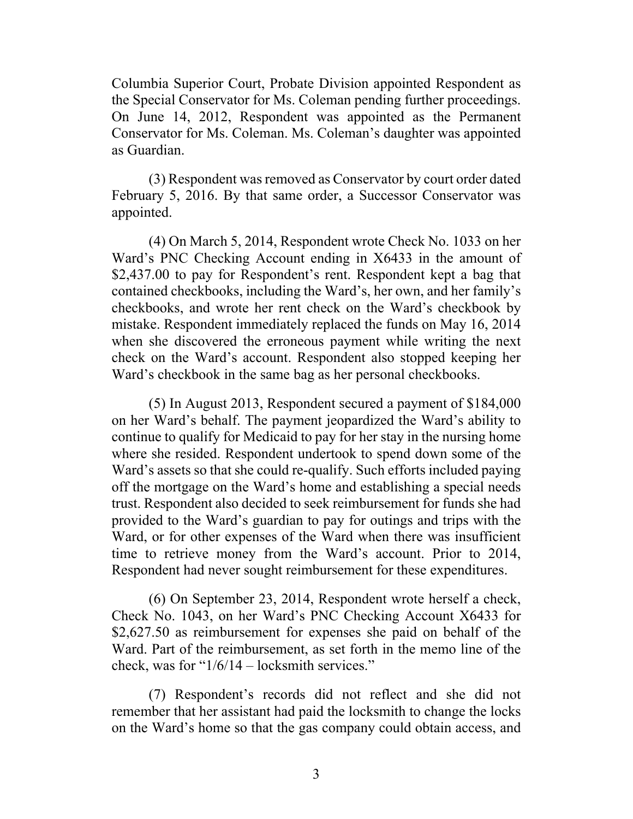Columbia Superior Court, Probate Division appointed Respondent as the Special Conservator for Ms. Coleman pending further proceedings. On June 14, 2012, Respondent was appointed as the Permanent Conservator for Ms. Coleman. Ms. Coleman's daughter was appointed as Guardian.

(3) Respondent was removed as Conservator by court order dated February 5, 2016. By that same order, a Successor Conservator was appointed.

(4) On March 5, 2014, Respondent wrote Check No. 1033 on her Ward's PNC Checking Account ending in X6433 in the amount of \$2,437.00 to pay for Respondent's rent. Respondent kept a bag that contained checkbooks, including the Ward's, her own, and her family's checkbooks, and wrote her rent check on the Ward's checkbook by mistake. Respondent immediately replaced the funds on May 16, 2014 when she discovered the erroneous payment while writing the next check on the Ward's account. Respondent also stopped keeping her Ward's checkbook in the same bag as her personal checkbooks.

(5) In August 2013, Respondent secured a payment of \$184,000 on her Ward's behalf. The payment jeopardized the Ward's ability to continue to qualify for Medicaid to pay for her stay in the nursing home where she resided. Respondent undertook to spend down some of the Ward's assets so that she could re-qualify. Such efforts included paying off the mortgage on the Ward's home and establishing a special needs trust. Respondent also decided to seek reimbursement for funds she had provided to the Ward's guardian to pay for outings and trips with the Ward, or for other expenses of the Ward when there was insufficient time to retrieve money from the Ward's account. Prior to 2014, Respondent had never sought reimbursement for these expenditures.

(6) On September 23, 2014, Respondent wrote herself a check, Check No. 1043, on her Ward's PNC Checking Account X6433 for \$2,627.50 as reimbursement for expenses she paid on behalf of the Ward. Part of the reimbursement, as set forth in the memo line of the check, was for "1/6/14 – locksmith services."

(7) Respondent's records did not reflect and she did not remember that her assistant had paid the locksmith to change the locks on the Ward's home so that the gas company could obtain access, and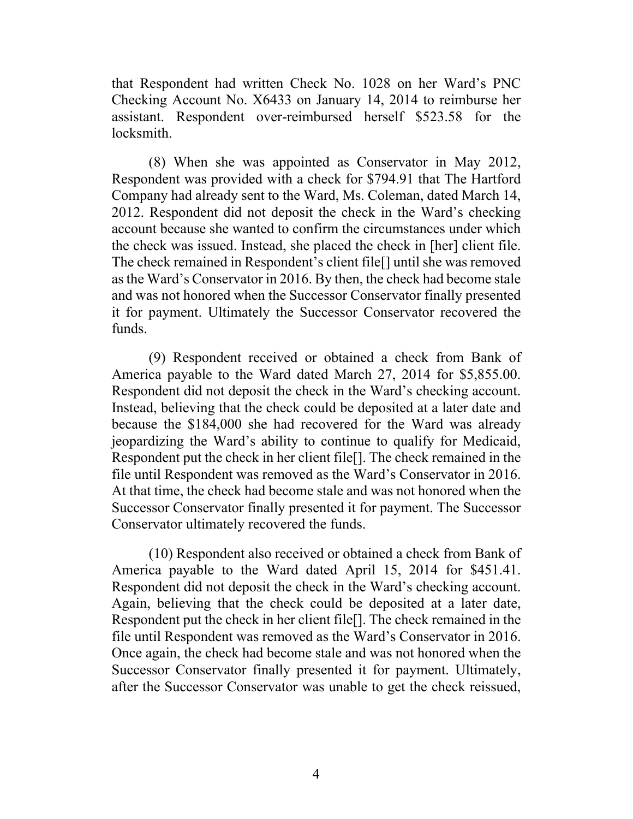that Respondent had written Check No. 1028 on her Ward's PNC Checking Account No. X6433 on January 14, 2014 to reimburse her assistant. Respondent over-reimbursed herself \$523.58 for the locksmith.

(8) When she was appointed as Conservator in May 2012, Respondent was provided with a check for \$794.91 that The Hartford Company had already sent to the Ward, Ms. Coleman, dated March 14, 2012. Respondent did not deposit the check in the Ward's checking account because she wanted to confirm the circumstances under which the check was issued. Instead, she placed the check in [her] client file. The check remained in Respondent's client file[] until she was removed as the Ward's Conservator in 2016. By then, the check had become stale and was not honored when the Successor Conservator finally presented it for payment. Ultimately the Successor Conservator recovered the funds.

(9) Respondent received or obtained a check from Bank of America payable to the Ward dated March 27, 2014 for \$5,855.00. Respondent did not deposit the check in the Ward's checking account. Instead, believing that the check could be deposited at a later date and because the \$184,000 she had recovered for the Ward was already jeopardizing the Ward's ability to continue to qualify for Medicaid, Respondent put the check in her client file[]. The check remained in the file until Respondent was removed as the Ward's Conservator in 2016. At that time, the check had become stale and was not honored when the Successor Conservator finally presented it for payment. The Successor Conservator ultimately recovered the funds.

(10) Respondent also received or obtained a check from Bank of America payable to the Ward dated April 15, 2014 for \$451.41. Respondent did not deposit the check in the Ward's checking account. Again, believing that the check could be deposited at a later date, Respondent put the check in her client file[]. The check remained in the file until Respondent was removed as the Ward's Conservator in 2016. Once again, the check had become stale and was not honored when the Successor Conservator finally presented it for payment. Ultimately, after the Successor Conservator was unable to get the check reissued,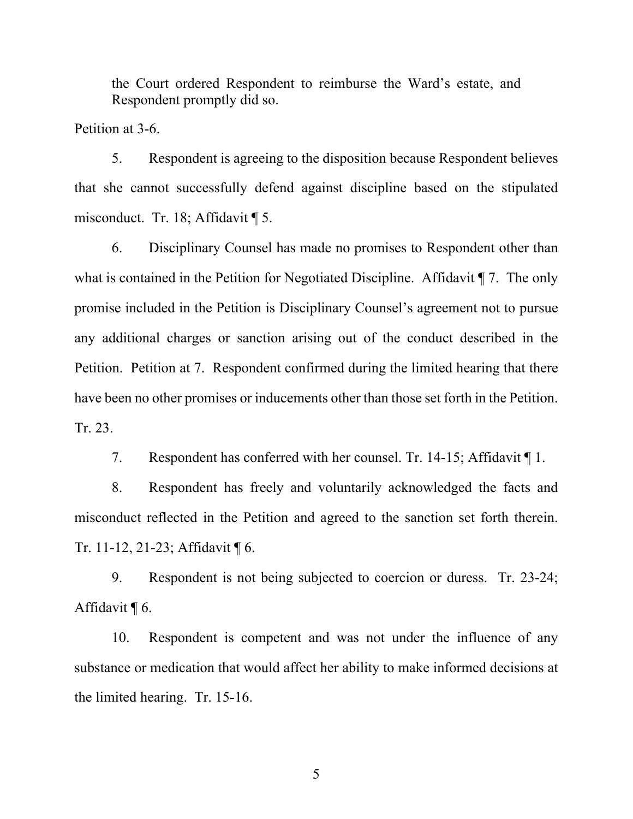the Court ordered Respondent to reimburse the Ward's estate, and Respondent promptly did so.

Petition at 3-6.

5. Respondent is agreeing to the disposition because Respondent believes that she cannot successfully defend against discipline based on the stipulated misconduct. Tr. 18; Affidavit ¶ 5.

6. Disciplinary Counsel has made no promises to Respondent other than what is contained in the Petition for Negotiated Discipline. Affidavit  $\P$  7. The only promise included in the Petition is Disciplinary Counsel's agreement not to pursue any additional charges or sanction arising out of the conduct described in the Petition. Petition at 7. Respondent confirmed during the limited hearing that there have been no other promises or inducements other than those set forth in the Petition. Tr. 23.

7. Respondent has conferred with her counsel. Tr. 14-15; Affidavit ¶ 1.

8. Respondent has freely and voluntarily acknowledged the facts and misconduct reflected in the Petition and agreed to the sanction set forth therein. Tr. 11-12, 21-23; Affidavit ¶ 6.

9. Respondent is not being subjected to coercion or duress. Tr. 23-24; Affidavit ¶ 6.

10. Respondent is competent and was not under the influence of any substance or medication that would affect her ability to make informed decisions at the limited hearing. Tr. 15-16.

5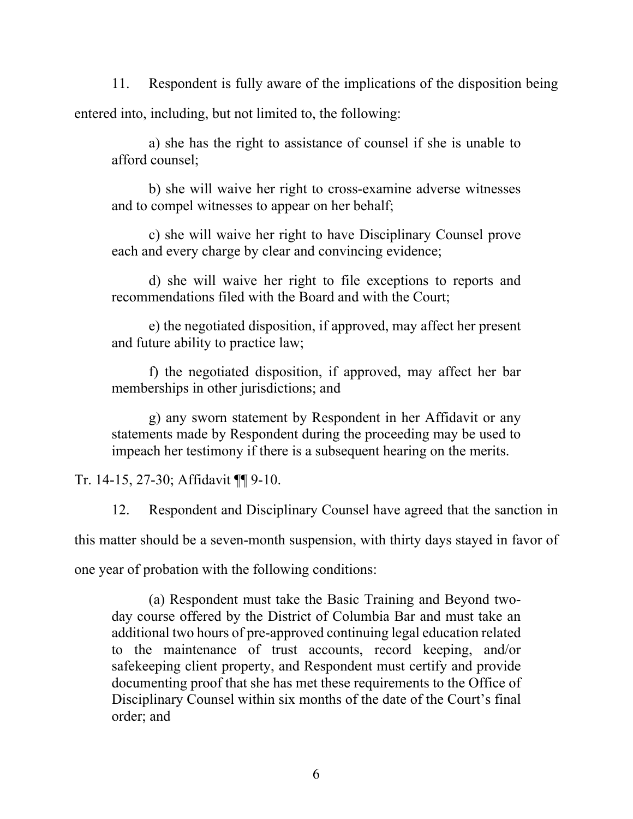11. Respondent is fully aware of the implications of the disposition being entered into, including, but not limited to, the following:

a) she has the right to assistance of counsel if she is unable to afford counsel;

b) she will waive her right to cross-examine adverse witnesses and to compel witnesses to appear on her behalf;

c) she will waive her right to have Disciplinary Counsel prove each and every charge by clear and convincing evidence;

d) she will waive her right to file exceptions to reports and recommendations filed with the Board and with the Court;

e) the negotiated disposition, if approved, may affect her present and future ability to practice law;

f) the negotiated disposition, if approved, may affect her bar memberships in other jurisdictions; and

g) any sworn statement by Respondent in her Affidavit or any statements made by Respondent during the proceeding may be used to impeach her testimony if there is a subsequent hearing on the merits.

Tr. 14-15, 27-30; Affidavit ¶¶ 9-10.

12. Respondent and Disciplinary Counsel have agreed that the sanction in this matter should be a seven-month suspension, with thirty days stayed in favor of one year of probation with the following conditions:

(a) Respondent must take the Basic Training and Beyond twoday course offered by the District of Columbia Bar and must take an additional two hours of pre-approved continuing legal education related to the maintenance of trust accounts, record keeping, and/or safekeeping client property, and Respondent must certify and provide documenting proof that she has met these requirements to the Office of Disciplinary Counsel within six months of the date of the Court's final order; and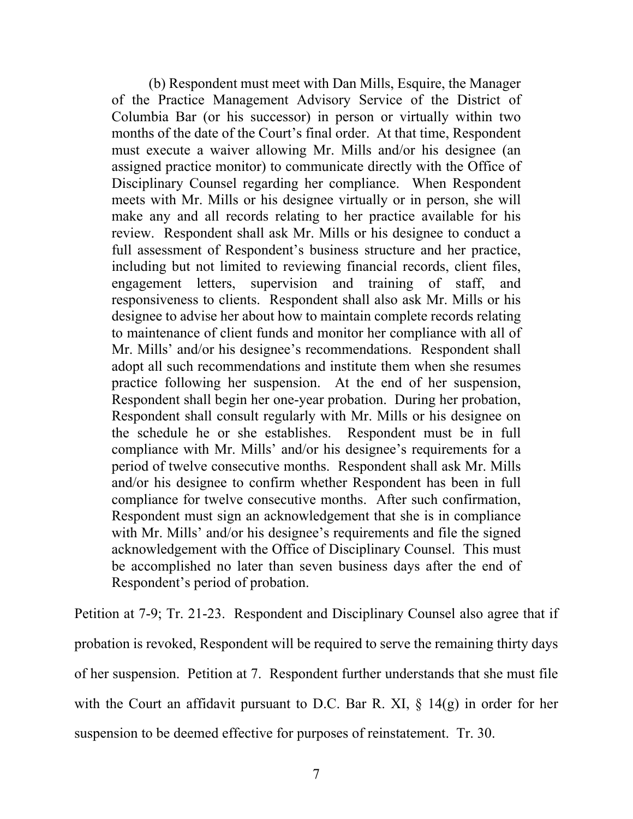(b) Respondent must meet with Dan Mills, Esquire, the Manager of the Practice Management Advisory Service of the District of Columbia Bar (or his successor) in person or virtually within two months of the date of the Court's final order. At that time, Respondent must execute a waiver allowing Mr. Mills and/or his designee (an assigned practice monitor) to communicate directly with the Office of Disciplinary Counsel regarding her compliance. When Respondent meets with Mr. Mills or his designee virtually or in person, she will make any and all records relating to her practice available for his review. Respondent shall ask Mr. Mills or his designee to conduct a full assessment of Respondent's business structure and her practice, including but not limited to reviewing financial records, client files, engagement letters, supervision and training of staff, and responsiveness to clients. Respondent shall also ask Mr. Mills or his designee to advise her about how to maintain complete records relating to maintenance of client funds and monitor her compliance with all of Mr. Mills' and/or his designee's recommendations. Respondent shall adopt all such recommendations and institute them when she resumes practice following her suspension. At the end of her suspension, Respondent shall begin her one-year probation. During her probation, Respondent shall consult regularly with Mr. Mills or his designee on the schedule he or she establishes. Respondent must be in full compliance with Mr. Mills' and/or his designee's requirements for a period of twelve consecutive months. Respondent shall ask Mr. Mills and/or his designee to confirm whether Respondent has been in full compliance for twelve consecutive months. After such confirmation, Respondent must sign an acknowledgement that she is in compliance with Mr. Mills' and/or his designee's requirements and file the signed acknowledgement with the Office of Disciplinary Counsel. This must be accomplished no later than seven business days after the end of Respondent's period of probation.

Petition at 7-9; Tr. 21-23. Respondent and Disciplinary Counsel also agree that if probation is revoked, Respondent will be required to serve the remaining thirty days of her suspension. Petition at 7. Respondent further understands that she must file with the Court an affidavit pursuant to D.C. Bar R. XI,  $\S$  14(g) in order for her suspension to be deemed effective for purposes of reinstatement. Tr. 30.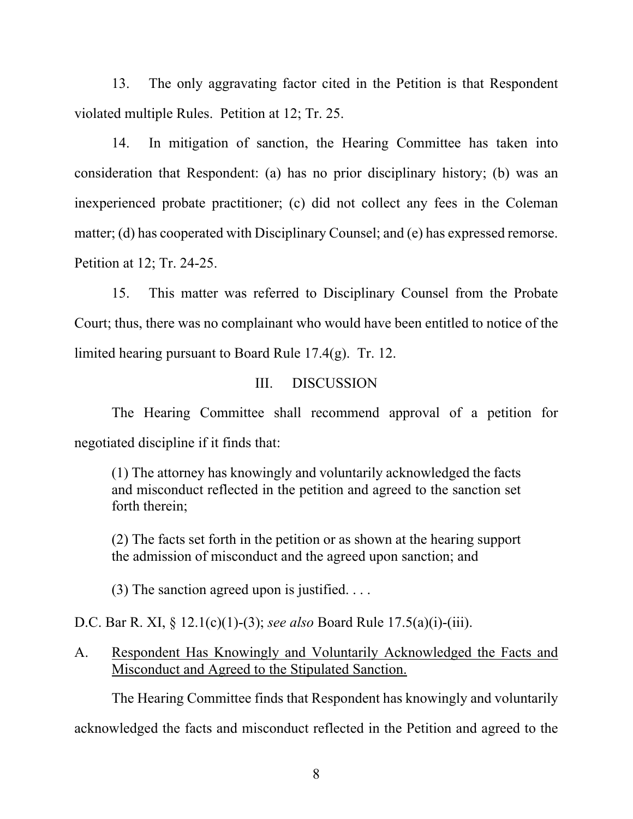13. The only aggravating factor cited in the Petition is that Respondent violated multiple Rules. Petition at 12; Tr. 25.

14. In mitigation of sanction, the Hearing Committee has taken into consideration that Respondent: (a) has no prior disciplinary history; (b) was an inexperienced probate practitioner; (c) did not collect any fees in the Coleman matter; (d) has cooperated with Disciplinary Counsel; and (e) has expressed remorse. Petition at 12; Tr. 24-25.

15. This matter was referred to Disciplinary Counsel from the Probate Court; thus, there was no complainant who would have been entitled to notice of the limited hearing pursuant to Board Rule 17.4(g). Tr. 12.

### III. DISCUSSION

The Hearing Committee shall recommend approval of a petition for negotiated discipline if it finds that:

(1) The attorney has knowingly and voluntarily acknowledged the facts and misconduct reflected in the petition and agreed to the sanction set forth therein;

(2) The facts set forth in the petition or as shown at the hearing support the admission of misconduct and the agreed upon sanction; and

(3) The sanction agreed upon is justified.  $\dots$ 

D.C. Bar R. XI, § 12.1(c)(1)-(3); *see also* Board Rule 17.5(a)(i)-(iii).

A. Respondent Has Knowingly and Voluntarily Acknowledged the Facts and Misconduct and Agreed to the Stipulated Sanction.

The Hearing Committee finds that Respondent has knowingly and voluntarily

acknowledged the facts and misconduct reflected in the Petition and agreed to the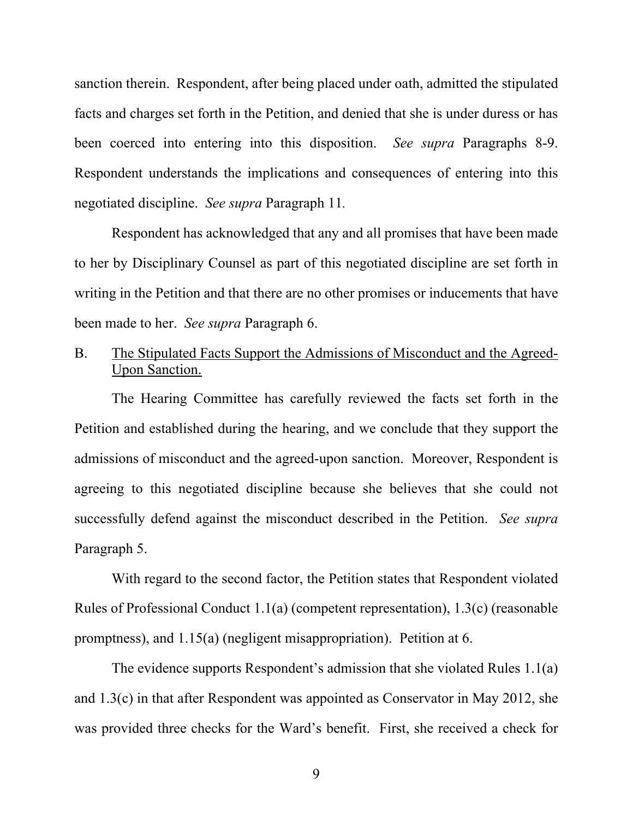sanction therein. Respondent, after being placed under oath, admitted the stipulated facts and charges set forth in the Petition, and denied that she is under duress or has been coerced into entering into this disposition. *See supra* Paragraphs 8-9. Respondent understands the implications and consequences of entering into this negotiated discipline. *See supra* Paragraph 11*.*

Respondent has acknowledged that any and all promises that have been made to her by Disciplinary Counsel as part of this negotiated discipline are set forth in writing in the Petition and that there are no other promises or inducements that have been made to her. *See supra* Paragraph 6.

B. The Stipulated Facts Support the Admissions of Misconduct and the Agreed-Upon Sanction.

The Hearing Committee has carefully reviewed the facts set forth in the Petition and established during the hearing, and we conclude that they support the admissions of misconduct and the agreed-upon sanction. Moreover, Respondent is agreeing to this negotiated discipline because she believes that she could not successfully defend against the misconduct described in the Petition. *See supra*  Paragraph 5.

With regard to the second factor, the Petition states that Respondent violated Rules of Professional Conduct 1.1(a) (competent representation), 1.3(c) (reasonable promptness), and 1.15(a) (negligent misappropriation). Petition at 6.

The evidence supports Respondent's admission that she violated Rules 1.1(a) and 1.3(c) in that after Respondent was appointed as Conservator in May 2012, she was provided three checks for the Ward's benefit. First, she received a check for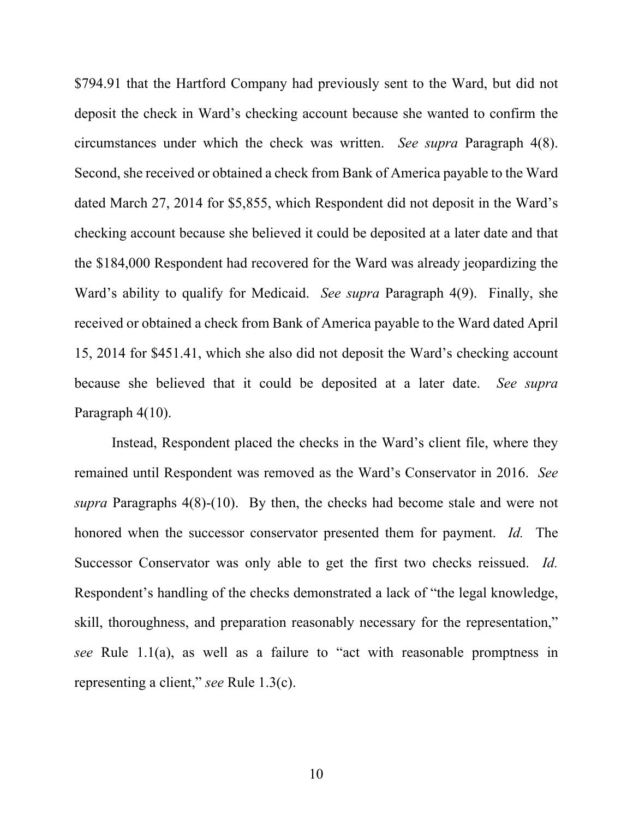\$794.91 that the Hartford Company had previously sent to the Ward, but did not deposit the check in Ward's checking account because she wanted to confirm the circumstances under which the check was written. *See supra* Paragraph 4(8). Second, she received or obtained a check from Bank of America payable to the Ward dated March 27, 2014 for \$5,855, which Respondent did not deposit in the Ward's checking account because she believed it could be deposited at a later date and that the \$184,000 Respondent had recovered for the Ward was already jeopardizing the Ward's ability to qualify for Medicaid. *See supra* Paragraph 4(9). Finally, she received or obtained a check from Bank of America payable to the Ward dated April 15, 2014 for \$451.41, which she also did not deposit the Ward's checking account because she believed that it could be deposited at a later date. *See supra*  Paragraph 4(10).

Instead, Respondent placed the checks in the Ward's client file, where they remained until Respondent was removed as the Ward's Conservator in 2016. *See supra* Paragraphs 4(8)-(10). By then, the checks had become stale and were not honored when the successor conservator presented them for payment. *Id.* The Successor Conservator was only able to get the first two checks reissued. *Id.* Respondent's handling of the checks demonstrated a lack of "the legal knowledge, skill, thoroughness, and preparation reasonably necessary for the representation," *see* Rule 1.1(a), as well as a failure to "act with reasonable promptness in representing a client," *see* Rule 1.3(c).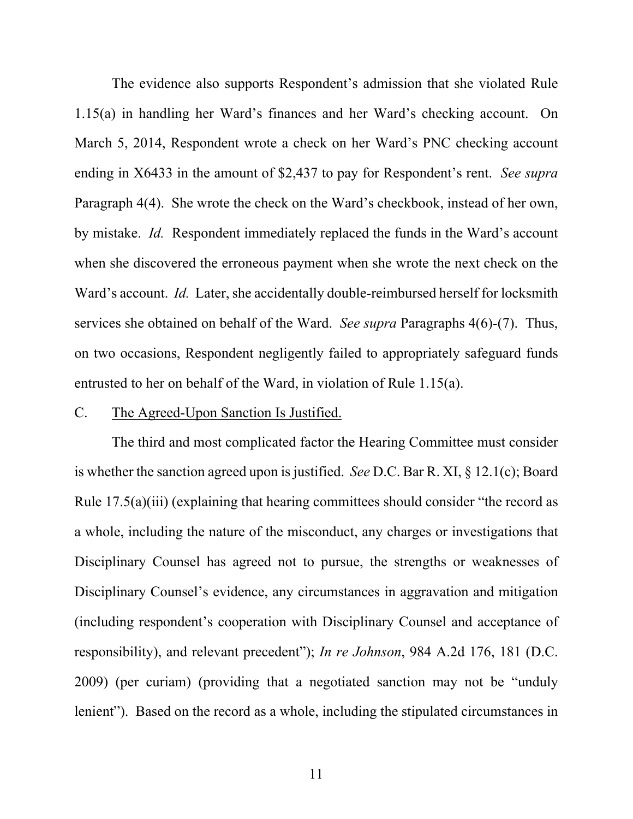The evidence also supports Respondent's admission that she violated Rule 1.15(a) in handling her Ward's finances and her Ward's checking account. On March 5, 2014, Respondent wrote a check on her Ward's PNC checking account ending in X6433 in the amount of \$2,437 to pay for Respondent's rent. *See supra*  Paragraph 4(4). She wrote the check on the Ward's checkbook, instead of her own, by mistake. *Id.* Respondent immediately replaced the funds in the Ward's account when she discovered the erroneous payment when she wrote the next check on the Ward's account. *Id.* Later, she accidentally double-reimbursed herself for locksmith services she obtained on behalf of the Ward. *See supra* Paragraphs 4(6)-(7). Thus, on two occasions, Respondent negligently failed to appropriately safeguard funds entrusted to her on behalf of the Ward, in violation of Rule 1.15(a).

#### C. The Agreed-Upon Sanction Is Justified.

The third and most complicated factor the Hearing Committee must consider is whether the sanction agreed upon is justified. *See* D.C. Bar R. XI, § 12.1(c); Board Rule 17.5(a)(iii) (explaining that hearing committees should consider "the record as a whole, including the nature of the misconduct, any charges or investigations that Disciplinary Counsel has agreed not to pursue, the strengths or weaknesses of Disciplinary Counsel's evidence, any circumstances in aggravation and mitigation (including respondent's cooperation with Disciplinary Counsel and acceptance of responsibility), and relevant precedent"); *In re Johnson*, 984 A.2d 176, 181 (D.C. 2009) (per curiam) (providing that a negotiated sanction may not be "unduly lenient"). Based on the record as a whole, including the stipulated circumstances in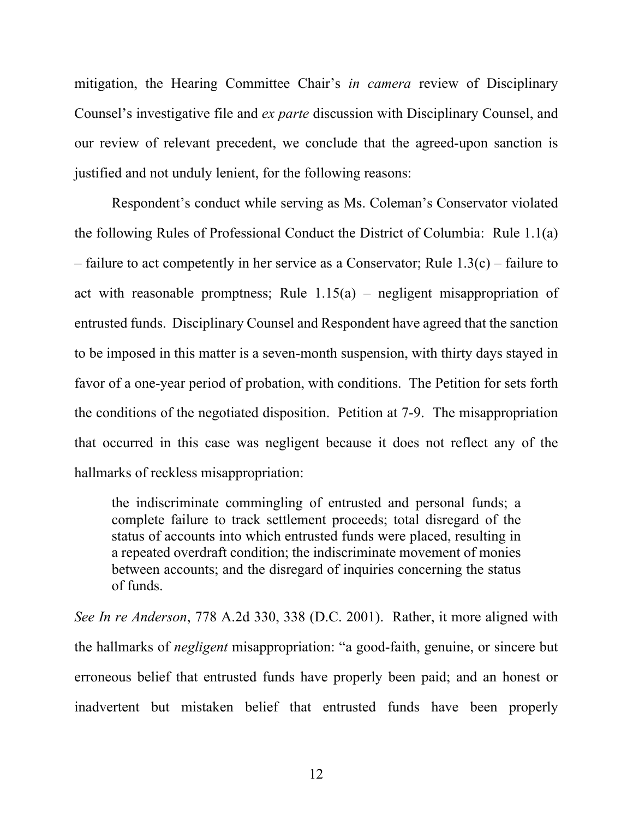mitigation, the Hearing Committee Chair's *in camera* review of Disciplinary Counsel's investigative file and *ex parte* discussion with Disciplinary Counsel, and our review of relevant precedent, we conclude that the agreed-upon sanction is justified and not unduly lenient, for the following reasons:

Respondent's conduct while serving as Ms. Coleman's Conservator violated the following Rules of Professional Conduct the District of Columbia: Rule 1.1(a) – failure to act competently in her service as a Conservator; Rule 1.3(c) – failure to act with reasonable promptness; Rule  $1.15(a)$  – negligent misappropriation of entrusted funds. Disciplinary Counsel and Respondent have agreed that the sanction to be imposed in this matter is a seven-month suspension, with thirty days stayed in favor of a one-year period of probation, with conditions. The Petition for sets forth the conditions of the negotiated disposition. Petition at 7-9. The misappropriation that occurred in this case was negligent because it does not reflect any of the hallmarks of reckless misappropriation:

the indiscriminate commingling of entrusted and personal funds; a complete failure to track settlement proceeds; total disregard of the status of accounts into which entrusted funds were placed, resulting in a repeated overdraft condition; the indiscriminate movement of monies between accounts; and the disregard of inquiries concerning the status of funds.

*See In re Anderson*, 778 A.2d 330, 338 (D.C. 2001). Rather, it more aligned with the hallmarks of *negligent* misappropriation: "a good-faith, genuine, or sincere but erroneous belief that entrusted funds have properly been paid; and an honest or inadvertent but mistaken belief that entrusted funds have been properly

12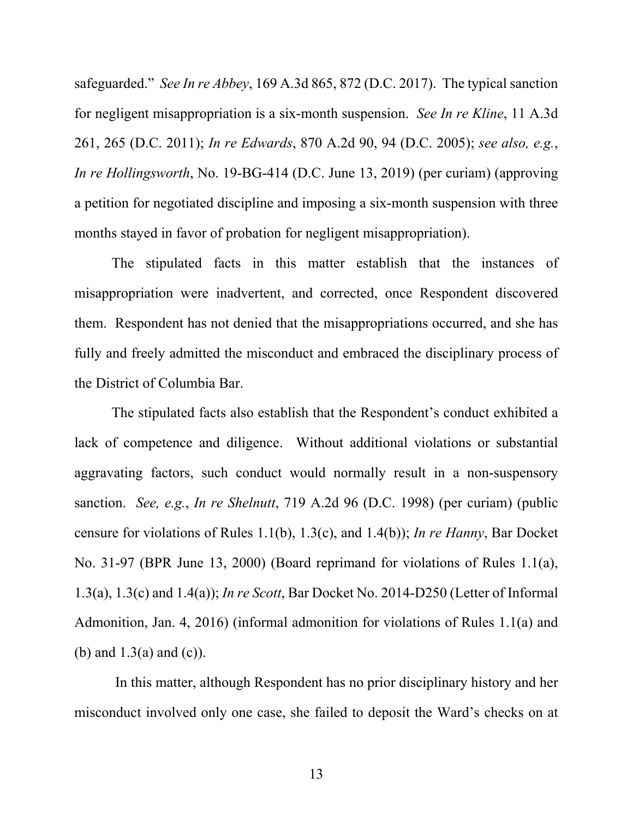safeguarded." *See In re Abbey*, 169 A.3d 865, 872 (D.C. 2017). The typical sanction for negligent misappropriation is a six-month suspension. *See In re Kline*, 11 A.3d 261, 265 (D.C. 2011); *In re Edwards*, 870 A.2d 90, 94 (D.C. 2005); *see also, e.g.*, *In re Hollingsworth*, No. 19-BG-414 (D.C. June 13, 2019) (per curiam) (approving a petition for negotiated discipline and imposing a six-month suspension with three months stayed in favor of probation for negligent misappropriation).

The stipulated facts in this matter establish that the instances of misappropriation were inadvertent, and corrected, once Respondent discovered them. Respondent has not denied that the misappropriations occurred, and she has fully and freely admitted the misconduct and embraced the disciplinary process of the District of Columbia Bar.

The stipulated facts also establish that the Respondent's conduct exhibited a lack of competence and diligence. Without additional violations or substantial aggravating factors, such conduct would normally result in a non-suspensory sanction. *See, e.g.*, *In re Shelnutt*, 719 A.2d 96 (D.C. 1998) (per curiam) (public censure for violations of Rules 1.1(b), 1.3(c), and 1.4(b)); *In re Hanny*, Bar Docket No. 31-97 (BPR June 13, 2000) (Board reprimand for violations of Rules 1.1(a), 1.3(a), 1.3(c) and 1.4(a)); *In re Scott*, Bar Docket No. 2014-D250 (Letter of Informal Admonition, Jan. 4, 2016) (informal admonition for violations of Rules 1.1(a) and (b) and  $1.3(a)$  and  $(c)$ ).

In this matter, although Respondent has no prior disciplinary history and her misconduct involved only one case, she failed to deposit the Ward's checks on at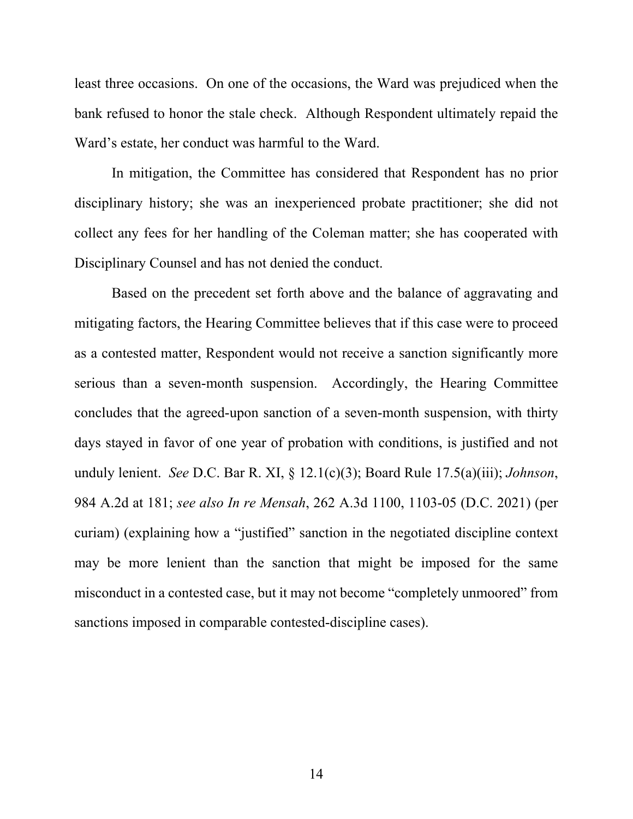least three occasions. On one of the occasions, the Ward was prejudiced when the bank refused to honor the stale check. Although Respondent ultimately repaid the Ward's estate, her conduct was harmful to the Ward.

In mitigation, the Committee has considered that Respondent has no prior disciplinary history; she was an inexperienced probate practitioner; she did not collect any fees for her handling of the Coleman matter; she has cooperated with Disciplinary Counsel and has not denied the conduct.

Based on the precedent set forth above and the balance of aggravating and mitigating factors, the Hearing Committee believes that if this case were to proceed as a contested matter, Respondent would not receive a sanction significantly more serious than a seven-month suspension. Accordingly, the Hearing Committee concludes that the agreed-upon sanction of a seven-month suspension, with thirty days stayed in favor of one year of probation with conditions, is justified and not unduly lenient. *See* D.C. Bar R. XI, § 12.1(c)(3); Board Rule 17.5(a)(iii); *Johnson*, 984 A.2d at 181; *see also In re Mensah*, 262 A.3d 1100, 1103-05 (D.C. 2021) (per curiam) (explaining how a "justified" sanction in the negotiated discipline context may be more lenient than the sanction that might be imposed for the same misconduct in a contested case, but it may not become "completely unmoored" from sanctions imposed in comparable contested-discipline cases).